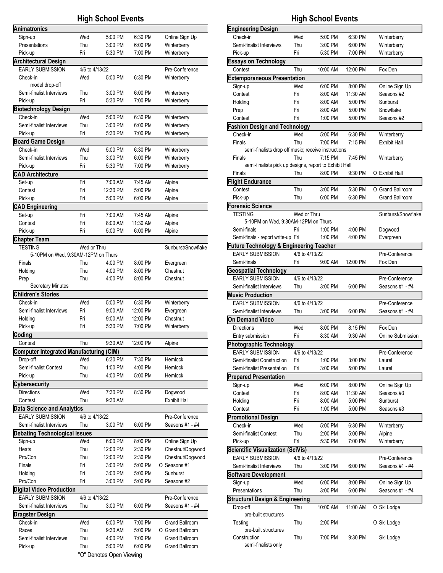| Animatronics<br>Wed<br>5:00 PM<br>6:30 PM<br>Online Sign Up<br>Sign-up<br>Presentations<br>Thu<br>3:00 PM<br>6:00 PM<br>Winterberry<br>Fri<br>Pick-up<br>5:30 PM<br>7:00 PM<br>Winterberry<br><b>Architectural Design</b><br><b>EARLY SUBMISSION</b><br>4/6 to 4/13/22<br>Pre-Conference<br>Wed<br>Check-in<br>5:00 PM<br>6:30 PM<br>Winterberry<br>model drop-off<br>Semi-finalist Interviews<br>Thu<br>3:00 PM<br>6:00 PM<br>Winterberry<br>Fri<br>5:30 PM<br>7:00 PM<br>Pick-up<br>Winterberry<br><b>Biotechnology Design</b><br>Check-in<br>Wed<br>5:00 PM<br>6:30 PM<br>Winterberry<br>Semi-finalist Interviews<br>Thu<br>3:00 PM<br>6:00 PM<br>Winterberry<br>Fri<br>Pick-up<br>5:30 PM<br>7:00 PM<br>Winterberry<br><b>Board Game Design</b><br>Wed<br>Check-in<br>5:00 PM<br>6:30 PM<br>Winterberry<br>Semi-finalist Interviews<br>Thu<br>3:00 PM<br>6:00 PM<br>Winterberry<br>Fri<br>Winterberry<br>Pick-up<br>5:30 PM<br>7:00 PM<br><b>CAD Architecture</b><br>Set-up<br>Fri<br>7:00 AM<br>7:45 AM<br>Alpine<br>Contest<br>Fri<br>12:30 PM<br>Alpine<br>5:00 PM<br>Fri<br>Pick-up<br>5:00 PM<br>6:00 PM<br>Alpine<br><b>CAD Engineering</b><br>Fri<br>7:00 AM<br>7:45 AM<br>Set-up<br>Alpine<br>Fri<br>8:00 AM<br>11:30 AM<br>Alpine<br>Contest<br>Fri<br>5:00 PM<br>6:00 PM<br>Pick-up<br>Alpine<br><b>Chapter Team</b><br>Sunburst/Snowflake<br><b>TESTING</b><br>Wed or Thru<br>5-10PM on Wed, 9:30AM-12PM on Thurs<br>Finals<br>Thu<br>4:00 PM<br>8:00 PM<br>Evergreen<br>Thu<br>Chestnut<br>Holding<br>4:00 PM<br>8:00 PM<br>Thu<br>4:00 PM<br>8:00 PM<br>Chestnut<br>Prep<br><b>Secretary Minutes</b><br><b>Children's Stories</b><br>Check-in<br>Wed<br>5:00 PM<br>6:30 PM<br>Winterberry<br>Semi-finalist Interviews<br>Fri<br>9:00 AM<br>12:00 PM<br>Evergreen<br>Fri<br>Chestnut<br>Holding<br>9:00 AM<br>12:00 PM<br>Pick-up<br>Fri<br>5:30 PM<br>7:00 PM<br>Winterberry<br>Coding<br>9:30 AM<br>Thu<br>12:00 PM<br>Contest<br>Alpine<br>Computer Integrated Manufacturing (CIM)<br>Drop-off<br>Wed<br>6:30 PM<br>7:30 PM<br>Hemlock<br>Semi-finalist Contest<br>Thu<br>1:00 PM<br>Hemlock<br>4:00 PM<br>Pick-up<br>Thu<br>4:00 PM<br>5:00 PM<br>Hemlock<br><b>Cybersecurity</b> |
|-------------------------------------------------------------------------------------------------------------------------------------------------------------------------------------------------------------------------------------------------------------------------------------------------------------------------------------------------------------------------------------------------------------------------------------------------------------------------------------------------------------------------------------------------------------------------------------------------------------------------------------------------------------------------------------------------------------------------------------------------------------------------------------------------------------------------------------------------------------------------------------------------------------------------------------------------------------------------------------------------------------------------------------------------------------------------------------------------------------------------------------------------------------------------------------------------------------------------------------------------------------------------------------------------------------------------------------------------------------------------------------------------------------------------------------------------------------------------------------------------------------------------------------------------------------------------------------------------------------------------------------------------------------------------------------------------------------------------------------------------------------------------------------------------------------------------------------------------------------------------------------------------------------------------------------------------------------------------------------------------------------------------------------------------------------------------------------------------------------------------------------------------------------------------------------------------------|
|                                                                                                                                                                                                                                                                                                                                                                                                                                                                                                                                                                                                                                                                                                                                                                                                                                                                                                                                                                                                                                                                                                                                                                                                                                                                                                                                                                                                                                                                                                                                                                                                                                                                                                                                                                                                                                                                                                                                                                                                                                                                                                                                                                                                       |
|                                                                                                                                                                                                                                                                                                                                                                                                                                                                                                                                                                                                                                                                                                                                                                                                                                                                                                                                                                                                                                                                                                                                                                                                                                                                                                                                                                                                                                                                                                                                                                                                                                                                                                                                                                                                                                                                                                                                                                                                                                                                                                                                                                                                       |
|                                                                                                                                                                                                                                                                                                                                                                                                                                                                                                                                                                                                                                                                                                                                                                                                                                                                                                                                                                                                                                                                                                                                                                                                                                                                                                                                                                                                                                                                                                                                                                                                                                                                                                                                                                                                                                                                                                                                                                                                                                                                                                                                                                                                       |
|                                                                                                                                                                                                                                                                                                                                                                                                                                                                                                                                                                                                                                                                                                                                                                                                                                                                                                                                                                                                                                                                                                                                                                                                                                                                                                                                                                                                                                                                                                                                                                                                                                                                                                                                                                                                                                                                                                                                                                                                                                                                                                                                                                                                       |
|                                                                                                                                                                                                                                                                                                                                                                                                                                                                                                                                                                                                                                                                                                                                                                                                                                                                                                                                                                                                                                                                                                                                                                                                                                                                                                                                                                                                                                                                                                                                                                                                                                                                                                                                                                                                                                                                                                                                                                                                                                                                                                                                                                                                       |
|                                                                                                                                                                                                                                                                                                                                                                                                                                                                                                                                                                                                                                                                                                                                                                                                                                                                                                                                                                                                                                                                                                                                                                                                                                                                                                                                                                                                                                                                                                                                                                                                                                                                                                                                                                                                                                                                                                                                                                                                                                                                                                                                                                                                       |
|                                                                                                                                                                                                                                                                                                                                                                                                                                                                                                                                                                                                                                                                                                                                                                                                                                                                                                                                                                                                                                                                                                                                                                                                                                                                                                                                                                                                                                                                                                                                                                                                                                                                                                                                                                                                                                                                                                                                                                                                                                                                                                                                                                                                       |
|                                                                                                                                                                                                                                                                                                                                                                                                                                                                                                                                                                                                                                                                                                                                                                                                                                                                                                                                                                                                                                                                                                                                                                                                                                                                                                                                                                                                                                                                                                                                                                                                                                                                                                                                                                                                                                                                                                                                                                                                                                                                                                                                                                                                       |
|                                                                                                                                                                                                                                                                                                                                                                                                                                                                                                                                                                                                                                                                                                                                                                                                                                                                                                                                                                                                                                                                                                                                                                                                                                                                                                                                                                                                                                                                                                                                                                                                                                                                                                                                                                                                                                                                                                                                                                                                                                                                                                                                                                                                       |
|                                                                                                                                                                                                                                                                                                                                                                                                                                                                                                                                                                                                                                                                                                                                                                                                                                                                                                                                                                                                                                                                                                                                                                                                                                                                                                                                                                                                                                                                                                                                                                                                                                                                                                                                                                                                                                                                                                                                                                                                                                                                                                                                                                                                       |
|                                                                                                                                                                                                                                                                                                                                                                                                                                                                                                                                                                                                                                                                                                                                                                                                                                                                                                                                                                                                                                                                                                                                                                                                                                                                                                                                                                                                                                                                                                                                                                                                                                                                                                                                                                                                                                                                                                                                                                                                                                                                                                                                                                                                       |
|                                                                                                                                                                                                                                                                                                                                                                                                                                                                                                                                                                                                                                                                                                                                                                                                                                                                                                                                                                                                                                                                                                                                                                                                                                                                                                                                                                                                                                                                                                                                                                                                                                                                                                                                                                                                                                                                                                                                                                                                                                                                                                                                                                                                       |
|                                                                                                                                                                                                                                                                                                                                                                                                                                                                                                                                                                                                                                                                                                                                                                                                                                                                                                                                                                                                                                                                                                                                                                                                                                                                                                                                                                                                                                                                                                                                                                                                                                                                                                                                                                                                                                                                                                                                                                                                                                                                                                                                                                                                       |
|                                                                                                                                                                                                                                                                                                                                                                                                                                                                                                                                                                                                                                                                                                                                                                                                                                                                                                                                                                                                                                                                                                                                                                                                                                                                                                                                                                                                                                                                                                                                                                                                                                                                                                                                                                                                                                                                                                                                                                                                                                                                                                                                                                                                       |
|                                                                                                                                                                                                                                                                                                                                                                                                                                                                                                                                                                                                                                                                                                                                                                                                                                                                                                                                                                                                                                                                                                                                                                                                                                                                                                                                                                                                                                                                                                                                                                                                                                                                                                                                                                                                                                                                                                                                                                                                                                                                                                                                                                                                       |
|                                                                                                                                                                                                                                                                                                                                                                                                                                                                                                                                                                                                                                                                                                                                                                                                                                                                                                                                                                                                                                                                                                                                                                                                                                                                                                                                                                                                                                                                                                                                                                                                                                                                                                                                                                                                                                                                                                                                                                                                                                                                                                                                                                                                       |
|                                                                                                                                                                                                                                                                                                                                                                                                                                                                                                                                                                                                                                                                                                                                                                                                                                                                                                                                                                                                                                                                                                                                                                                                                                                                                                                                                                                                                                                                                                                                                                                                                                                                                                                                                                                                                                                                                                                                                                                                                                                                                                                                                                                                       |
|                                                                                                                                                                                                                                                                                                                                                                                                                                                                                                                                                                                                                                                                                                                                                                                                                                                                                                                                                                                                                                                                                                                                                                                                                                                                                                                                                                                                                                                                                                                                                                                                                                                                                                                                                                                                                                                                                                                                                                                                                                                                                                                                                                                                       |
|                                                                                                                                                                                                                                                                                                                                                                                                                                                                                                                                                                                                                                                                                                                                                                                                                                                                                                                                                                                                                                                                                                                                                                                                                                                                                                                                                                                                                                                                                                                                                                                                                                                                                                                                                                                                                                                                                                                                                                                                                                                                                                                                                                                                       |
|                                                                                                                                                                                                                                                                                                                                                                                                                                                                                                                                                                                                                                                                                                                                                                                                                                                                                                                                                                                                                                                                                                                                                                                                                                                                                                                                                                                                                                                                                                                                                                                                                                                                                                                                                                                                                                                                                                                                                                                                                                                                                                                                                                                                       |
|                                                                                                                                                                                                                                                                                                                                                                                                                                                                                                                                                                                                                                                                                                                                                                                                                                                                                                                                                                                                                                                                                                                                                                                                                                                                                                                                                                                                                                                                                                                                                                                                                                                                                                                                                                                                                                                                                                                                                                                                                                                                                                                                                                                                       |
|                                                                                                                                                                                                                                                                                                                                                                                                                                                                                                                                                                                                                                                                                                                                                                                                                                                                                                                                                                                                                                                                                                                                                                                                                                                                                                                                                                                                                                                                                                                                                                                                                                                                                                                                                                                                                                                                                                                                                                                                                                                                                                                                                                                                       |
|                                                                                                                                                                                                                                                                                                                                                                                                                                                                                                                                                                                                                                                                                                                                                                                                                                                                                                                                                                                                                                                                                                                                                                                                                                                                                                                                                                                                                                                                                                                                                                                                                                                                                                                                                                                                                                                                                                                                                                                                                                                                                                                                                                                                       |
|                                                                                                                                                                                                                                                                                                                                                                                                                                                                                                                                                                                                                                                                                                                                                                                                                                                                                                                                                                                                                                                                                                                                                                                                                                                                                                                                                                                                                                                                                                                                                                                                                                                                                                                                                                                                                                                                                                                                                                                                                                                                                                                                                                                                       |
|                                                                                                                                                                                                                                                                                                                                                                                                                                                                                                                                                                                                                                                                                                                                                                                                                                                                                                                                                                                                                                                                                                                                                                                                                                                                                                                                                                                                                                                                                                                                                                                                                                                                                                                                                                                                                                                                                                                                                                                                                                                                                                                                                                                                       |
|                                                                                                                                                                                                                                                                                                                                                                                                                                                                                                                                                                                                                                                                                                                                                                                                                                                                                                                                                                                                                                                                                                                                                                                                                                                                                                                                                                                                                                                                                                                                                                                                                                                                                                                                                                                                                                                                                                                                                                                                                                                                                                                                                                                                       |
|                                                                                                                                                                                                                                                                                                                                                                                                                                                                                                                                                                                                                                                                                                                                                                                                                                                                                                                                                                                                                                                                                                                                                                                                                                                                                                                                                                                                                                                                                                                                                                                                                                                                                                                                                                                                                                                                                                                                                                                                                                                                                                                                                                                                       |
|                                                                                                                                                                                                                                                                                                                                                                                                                                                                                                                                                                                                                                                                                                                                                                                                                                                                                                                                                                                                                                                                                                                                                                                                                                                                                                                                                                                                                                                                                                                                                                                                                                                                                                                                                                                                                                                                                                                                                                                                                                                                                                                                                                                                       |
|                                                                                                                                                                                                                                                                                                                                                                                                                                                                                                                                                                                                                                                                                                                                                                                                                                                                                                                                                                                                                                                                                                                                                                                                                                                                                                                                                                                                                                                                                                                                                                                                                                                                                                                                                                                                                                                                                                                                                                                                                                                                                                                                                                                                       |
|                                                                                                                                                                                                                                                                                                                                                                                                                                                                                                                                                                                                                                                                                                                                                                                                                                                                                                                                                                                                                                                                                                                                                                                                                                                                                                                                                                                                                                                                                                                                                                                                                                                                                                                                                                                                                                                                                                                                                                                                                                                                                                                                                                                                       |
|                                                                                                                                                                                                                                                                                                                                                                                                                                                                                                                                                                                                                                                                                                                                                                                                                                                                                                                                                                                                                                                                                                                                                                                                                                                                                                                                                                                                                                                                                                                                                                                                                                                                                                                                                                                                                                                                                                                                                                                                                                                                                                                                                                                                       |
|                                                                                                                                                                                                                                                                                                                                                                                                                                                                                                                                                                                                                                                                                                                                                                                                                                                                                                                                                                                                                                                                                                                                                                                                                                                                                                                                                                                                                                                                                                                                                                                                                                                                                                                                                                                                                                                                                                                                                                                                                                                                                                                                                                                                       |
|                                                                                                                                                                                                                                                                                                                                                                                                                                                                                                                                                                                                                                                                                                                                                                                                                                                                                                                                                                                                                                                                                                                                                                                                                                                                                                                                                                                                                                                                                                                                                                                                                                                                                                                                                                                                                                                                                                                                                                                                                                                                                                                                                                                                       |
|                                                                                                                                                                                                                                                                                                                                                                                                                                                                                                                                                                                                                                                                                                                                                                                                                                                                                                                                                                                                                                                                                                                                                                                                                                                                                                                                                                                                                                                                                                                                                                                                                                                                                                                                                                                                                                                                                                                                                                                                                                                                                                                                                                                                       |
|                                                                                                                                                                                                                                                                                                                                                                                                                                                                                                                                                                                                                                                                                                                                                                                                                                                                                                                                                                                                                                                                                                                                                                                                                                                                                                                                                                                                                                                                                                                                                                                                                                                                                                                                                                                                                                                                                                                                                                                                                                                                                                                                                                                                       |
|                                                                                                                                                                                                                                                                                                                                                                                                                                                                                                                                                                                                                                                                                                                                                                                                                                                                                                                                                                                                                                                                                                                                                                                                                                                                                                                                                                                                                                                                                                                                                                                                                                                                                                                                                                                                                                                                                                                                                                                                                                                                                                                                                                                                       |
|                                                                                                                                                                                                                                                                                                                                                                                                                                                                                                                                                                                                                                                                                                                                                                                                                                                                                                                                                                                                                                                                                                                                                                                                                                                                                                                                                                                                                                                                                                                                                                                                                                                                                                                                                                                                                                                                                                                                                                                                                                                                                                                                                                                                       |
|                                                                                                                                                                                                                                                                                                                                                                                                                                                                                                                                                                                                                                                                                                                                                                                                                                                                                                                                                                                                                                                                                                                                                                                                                                                                                                                                                                                                                                                                                                                                                                                                                                                                                                                                                                                                                                                                                                                                                                                                                                                                                                                                                                                                       |
|                                                                                                                                                                                                                                                                                                                                                                                                                                                                                                                                                                                                                                                                                                                                                                                                                                                                                                                                                                                                                                                                                                                                                                                                                                                                                                                                                                                                                                                                                                                                                                                                                                                                                                                                                                                                                                                                                                                                                                                                                                                                                                                                                                                                       |
|                                                                                                                                                                                                                                                                                                                                                                                                                                                                                                                                                                                                                                                                                                                                                                                                                                                                                                                                                                                                                                                                                                                                                                                                                                                                                                                                                                                                                                                                                                                                                                                                                                                                                                                                                                                                                                                                                                                                                                                                                                                                                                                                                                                                       |
|                                                                                                                                                                                                                                                                                                                                                                                                                                                                                                                                                                                                                                                                                                                                                                                                                                                                                                                                                                                                                                                                                                                                                                                                                                                                                                                                                                                                                                                                                                                                                                                                                                                                                                                                                                                                                                                                                                                                                                                                                                                                                                                                                                                                       |
|                                                                                                                                                                                                                                                                                                                                                                                                                                                                                                                                                                                                                                                                                                                                                                                                                                                                                                                                                                                                                                                                                                                                                                                                                                                                                                                                                                                                                                                                                                                                                                                                                                                                                                                                                                                                                                                                                                                                                                                                                                                                                                                                                                                                       |
|                                                                                                                                                                                                                                                                                                                                                                                                                                                                                                                                                                                                                                                                                                                                                                                                                                                                                                                                                                                                                                                                                                                                                                                                                                                                                                                                                                                                                                                                                                                                                                                                                                                                                                                                                                                                                                                                                                                                                                                                                                                                                                                                                                                                       |
|                                                                                                                                                                                                                                                                                                                                                                                                                                                                                                                                                                                                                                                                                                                                                                                                                                                                                                                                                                                                                                                                                                                                                                                                                                                                                                                                                                                                                                                                                                                                                                                                                                                                                                                                                                                                                                                                                                                                                                                                                                                                                                                                                                                                       |
| <b>Directions</b><br>Wed<br>7:30 PM<br>Dogwood<br>8:30 PM                                                                                                                                                                                                                                                                                                                                                                                                                                                                                                                                                                                                                                                                                                                                                                                                                                                                                                                                                                                                                                                                                                                                                                                                                                                                                                                                                                                                                                                                                                                                                                                                                                                                                                                                                                                                                                                                                                                                                                                                                                                                                                                                             |
| Thu<br>9:30 AM<br><b>Exhibit Hall</b><br>Contest                                                                                                                                                                                                                                                                                                                                                                                                                                                                                                                                                                                                                                                                                                                                                                                                                                                                                                                                                                                                                                                                                                                                                                                                                                                                                                                                                                                                                                                                                                                                                                                                                                                                                                                                                                                                                                                                                                                                                                                                                                                                                                                                                      |
| <b>Data Science and Analytics</b>                                                                                                                                                                                                                                                                                                                                                                                                                                                                                                                                                                                                                                                                                                                                                                                                                                                                                                                                                                                                                                                                                                                                                                                                                                                                                                                                                                                                                                                                                                                                                                                                                                                                                                                                                                                                                                                                                                                                                                                                                                                                                                                                                                     |
| <b>EARLY SUBMISSION</b><br>4/6 to 4/13/22<br>Pre-Conference                                                                                                                                                                                                                                                                                                                                                                                                                                                                                                                                                                                                                                                                                                                                                                                                                                                                                                                                                                                                                                                                                                                                                                                                                                                                                                                                                                                                                                                                                                                                                                                                                                                                                                                                                                                                                                                                                                                                                                                                                                                                                                                                           |
| Semi-finalist Interviews<br>Thu<br>Seasons #1 - #4<br>3:00 PM<br>6:00 PM                                                                                                                                                                                                                                                                                                                                                                                                                                                                                                                                                                                                                                                                                                                                                                                                                                                                                                                                                                                                                                                                                                                                                                                                                                                                                                                                                                                                                                                                                                                                                                                                                                                                                                                                                                                                                                                                                                                                                                                                                                                                                                                              |
| <b>Debating Technological Issues</b>                                                                                                                                                                                                                                                                                                                                                                                                                                                                                                                                                                                                                                                                                                                                                                                                                                                                                                                                                                                                                                                                                                                                                                                                                                                                                                                                                                                                                                                                                                                                                                                                                                                                                                                                                                                                                                                                                                                                                                                                                                                                                                                                                                  |
| Wed<br>Online Sign Up<br>Sign-up<br>6:00 PM<br>8:00 PM                                                                                                                                                                                                                                                                                                                                                                                                                                                                                                                                                                                                                                                                                                                                                                                                                                                                                                                                                                                                                                                                                                                                                                                                                                                                                                                                                                                                                                                                                                                                                                                                                                                                                                                                                                                                                                                                                                                                                                                                                                                                                                                                                |
| Heats<br>Thu<br>12:00 PM<br>2:30 PM<br>Chestnut/Dogwood                                                                                                                                                                                                                                                                                                                                                                                                                                                                                                                                                                                                                                                                                                                                                                                                                                                                                                                                                                                                                                                                                                                                                                                                                                                                                                                                                                                                                                                                                                                                                                                                                                                                                                                                                                                                                                                                                                                                                                                                                                                                                                                                               |
| Pro/Con<br>Thu<br>12:00 PM<br>2:30 PM<br>Chestnut/Dogwood                                                                                                                                                                                                                                                                                                                                                                                                                                                                                                                                                                                                                                                                                                                                                                                                                                                                                                                                                                                                                                                                                                                                                                                                                                                                                                                                                                                                                                                                                                                                                                                                                                                                                                                                                                                                                                                                                                                                                                                                                                                                                                                                             |
| Fri<br>O Seasons #1<br>Finals<br>3:00 PM<br>5:00 PM                                                                                                                                                                                                                                                                                                                                                                                                                                                                                                                                                                                                                                                                                                                                                                                                                                                                                                                                                                                                                                                                                                                                                                                                                                                                                                                                                                                                                                                                                                                                                                                                                                                                                                                                                                                                                                                                                                                                                                                                                                                                                                                                                   |
| Fri<br>Sunburst<br>Holding<br>3:00 PM<br>5:00 PM                                                                                                                                                                                                                                                                                                                                                                                                                                                                                                                                                                                                                                                                                                                                                                                                                                                                                                                                                                                                                                                                                                                                                                                                                                                                                                                                                                                                                                                                                                                                                                                                                                                                                                                                                                                                                                                                                                                                                                                                                                                                                                                                                      |
| Pro/Con<br>Fri<br>3:00 PM<br>5:00 PM<br>Seasons #2                                                                                                                                                                                                                                                                                                                                                                                                                                                                                                                                                                                                                                                                                                                                                                                                                                                                                                                                                                                                                                                                                                                                                                                                                                                                                                                                                                                                                                                                                                                                                                                                                                                                                                                                                                                                                                                                                                                                                                                                                                                                                                                                                    |
| Digital Video Production                                                                                                                                                                                                                                                                                                                                                                                                                                                                                                                                                                                                                                                                                                                                                                                                                                                                                                                                                                                                                                                                                                                                                                                                                                                                                                                                                                                                                                                                                                                                                                                                                                                                                                                                                                                                                                                                                                                                                                                                                                                                                                                                                                              |
| <b>EARLY SUBMISSION</b><br>4/6 to 4/13/22<br>Pre-Conference                                                                                                                                                                                                                                                                                                                                                                                                                                                                                                                                                                                                                                                                                                                                                                                                                                                                                                                                                                                                                                                                                                                                                                                                                                                                                                                                                                                                                                                                                                                                                                                                                                                                                                                                                                                                                                                                                                                                                                                                                                                                                                                                           |
|                                                                                                                                                                                                                                                                                                                                                                                                                                                                                                                                                                                                                                                                                                                                                                                                                                                                                                                                                                                                                                                                                                                                                                                                                                                                                                                                                                                                                                                                                                                                                                                                                                                                                                                                                                                                                                                                                                                                                                                                                                                                                                                                                                                                       |
| Semi-finalist Interviews<br>3:00 PM<br>6:00 PM<br>Seasons #1 - #4<br>Thu                                                                                                                                                                                                                                                                                                                                                                                                                                                                                                                                                                                                                                                                                                                                                                                                                                                                                                                                                                                                                                                                                                                                                                                                                                                                                                                                                                                                                                                                                                                                                                                                                                                                                                                                                                                                                                                                                                                                                                                                                                                                                                                              |
|                                                                                                                                                                                                                                                                                                                                                                                                                                                                                                                                                                                                                                                                                                                                                                                                                                                                                                                                                                                                                                                                                                                                                                                                                                                                                                                                                                                                                                                                                                                                                                                                                                                                                                                                                                                                                                                                                                                                                                                                                                                                                                                                                                                                       |
| Dragster Design<br>Check-in<br>Wed<br>7:00 PM<br><b>Grand Ballroom</b><br>6:00 PM                                                                                                                                                                                                                                                                                                                                                                                                                                                                                                                                                                                                                                                                                                                                                                                                                                                                                                                                                                                                                                                                                                                                                                                                                                                                                                                                                                                                                                                                                                                                                                                                                                                                                                                                                                                                                                                                                                                                                                                                                                                                                                                     |
| Thu<br>9:30 AM<br>O Grand Ballroom<br>Races<br>5:00 PM                                                                                                                                                                                                                                                                                                                                                                                                                                                                                                                                                                                                                                                                                                                                                                                                                                                                                                                                                                                                                                                                                                                                                                                                                                                                                                                                                                                                                                                                                                                                                                                                                                                                                                                                                                                                                                                                                                                                                                                                                                                                                                                                                |
| Semi-finalist Interviews<br>Thu<br>Grand Ballroom<br>4:00 PM<br>7:00 PM                                                                                                                                                                                                                                                                                                                                                                                                                                                                                                                                                                                                                                                                                                                                                                                                                                                                                                                                                                                                                                                                                                                                                                                                                                                                                                                                                                                                                                                                                                                                                                                                                                                                                                                                                                                                                                                                                                                                                                                                                                                                                                                               |
| Thu<br>5:00 PM<br><b>Grand Ballroom</b><br>Pick-up<br>6:00 PM                                                                                                                                                                                                                                                                                                                                                                                                                                                                                                                                                                                                                                                                                                                                                                                                                                                                                                                                                                                                                                                                                                                                                                                                                                                                                                                                                                                                                                                                                                                                                                                                                                                                                                                                                                                                                                                                                                                                                                                                                                                                                                                                         |

## **High School Events High School Events**

| <b>Engineering Design</b>                              |             |                |          |                          |
|--------------------------------------------------------|-------------|----------------|----------|--------------------------|
| Check-in                                               | Wed         | 5:00 PM        | 6:30 PM  | Winterberry              |
| Semi-finalist Interviews                               | Thu         | 3:00 PM        | 6:00 PM  | Winterberry              |
| Pick-up                                                | Fri         | 5:30 PM        | 7:00 PM  | Winterberry              |
| <b>Essays on Technology</b>                            |             |                |          |                          |
| Contest                                                | Thu         | 10:00 AM       | 12:00 PM | Fox Den                  |
| <b>Extemporaneous Presentation</b>                     |             |                |          |                          |
| Sign-up                                                | Wed         | 6:00 PM        | 8:00 PM  | Online Sign Up           |
| Contest                                                | Fri         | 8:00 AM        | 11:30 AM | Seasons #2               |
| Holding                                                | Fri         | 8:00 AM        | 5:00 PM  | Sunburst                 |
| Prep                                                   | Fri         | 8:00 AM        | 5:00 PM  | Snowflake                |
| Contest                                                | Fri         | 1:00 PM        | 5:00 PM  | Seasons #2               |
| <b>Fashion Design and Technology</b>                   |             |                |          |                          |
| Check-in                                               | Wed         | 5:00 PM        | 6:30 PM  | Winterberry              |
| Finals                                                 | Thu         | 7:00 PM        | 7:15 PM  | <b>Exhibit Hall</b>      |
| semi-finalists drop off music; receive instructions    |             |                |          |                          |
| Finals                                                 | Thu         | 7:15 PM        | 7:45 PM  | Winterberry              |
| semi-finalists pick up designs, report to Exhibit Hall |             |                |          |                          |
| Finals                                                 | Thu         | 8:00 PM        | 9:30 PM  | O Exhibit Hall           |
| <b>Flight Endurance</b>                                |             |                |          |                          |
| Contest                                                | Thu         | 3:00 PM        | 5:30 PM  | O Grand Ballroom         |
| Pick-up                                                | Thu         | 6:00 PM        | 6:30 PM  | <b>Grand Ballroom</b>    |
| <b>Forensic Science</b>                                |             |                |          |                          |
| <b>TESTING</b>                                         | Wed or Thru |                |          | Sunburst/Snowflake       |
| 5-10PM on Wed, 9:30AM-12PM on Thurs                    |             |                |          |                          |
| Semi-finals                                            | Fri         | 1:00 PM        | 4:00 PM  | Dogwood                  |
| Semi-finals - report write-up Fri                      |             | 1:00 PM        | 4:00 PM  | Evergreen                |
| <b>Future Technology &amp; Engineering Teacher</b>     |             |                |          |                          |
| <b>EARLY SUBMISSION</b>                                |             | 4/6 to 4/13/22 |          | Pre-Conference           |
| Semi-finals                                            | Fri         | 9:00 AM        | 12:00 PM | Fox Den                  |
| <b>Geospatial Technology</b>                           |             |                |          |                          |
| <b>EARLY SUBMISSION</b>                                |             | 4/6 to 4/13/22 |          | Pre-Conference           |
| Semi-finalist Interviews                               | Thu         | 3:00 PM        | 6:00 PM  | Seasons #1 - #4          |
| <b>Music Production</b>                                |             |                |          |                          |
| <b>EARLY SUBMISSION</b>                                |             | 4/6 to 4/13/22 |          | Pre-Conference           |
| Semi-finalist Interviews                               | Thu         | 3:00 PM        | 6:00 PM  | Seasons #1 - #4          |
| On Demand Video                                        |             |                |          |                          |
| <b>Directions</b>                                      | Wed         | 8:00 PM        | 8:15 PM  | Fox Den                  |
| Entry submission                                       | Fri         | 8:30 AM        | 9:30 AM  | <b>Online Submission</b> |
| <b>Photographic Technology</b>                         |             |                |          |                          |
| <b>EARLY SUBMISSION</b>                                |             | 4/6 to 4/13/22 |          | Pre-Conference           |
| Semi-finalist Construction                             | Fri         | 1:00 PM        | 3:00 PM  | Laurel                   |
| Semi-finalist Presentation                             | Fri         | 3:00 PM        | 5:00 PM  | Laurel                   |
| <b>Prepared Presentation</b>                           |             |                |          |                          |
| Sign-up                                                | Wed         | 6:00 PM        | 8:00 PM  | Online Sign Up           |
| Contest                                                | Fri         | 8:00 AM        | 11:30 AM | Seasons #3               |
| Holding                                                | Fri         | 8:00 AM        | 5:00 PM  | Sunburst                 |
| Contest                                                | Fri         | 1:00 PM        | 5:00 PM  | Seasons #3               |
| <b>Promotional Design</b>                              |             |                |          |                          |
| Check-in                                               | Wed         | 5:00 PM        | 6:30 PM  | Winterberry              |
| Semi-finalist Contest                                  | Thu         | 2:00 PM        | 5:00 PM  | Alpine                   |
| Pick-up                                                | Fri         | 5:30 PM        | 7:00 PM  | Winterberry              |
| Scientific Visualization (SciVis)                      |             |                |          |                          |
| <b>EARLY SUBMISSION</b>                                |             | 4/6 to 4/13/22 |          | Pre-Conference           |
| Semi-finalist Interviews                               | Thu         | 3:00 PM        | 6:00 PM  | Seasons #1 - #4          |
| Software Development                                   |             |                |          |                          |
| Sign-up                                                | Wed         | 6:00 PM        | 8:00 PM  | Online Sign Up           |
| Presentations                                          | Thu         | 3:00 PM        | 6:00 PM  | Seasons #1 - #4          |
| <b>Structural Design &amp; Engineering</b>             |             |                |          |                          |
| Drop-off                                               | Thu         | 10:00 AM       | 11:00 AM | O Ski Lodge              |
| pre-built structures                                   |             |                |          |                          |
| Testing                                                | Thu         | 2:00 PM        |          | O Ski Lodge              |
| pre-built structures                                   |             |                |          |                          |
| Construction                                           | Thu         | 7:00 PM        | 9:30 PM  | Ski Lodge                |
| semi-finalists only                                    |             |                |          |                          |